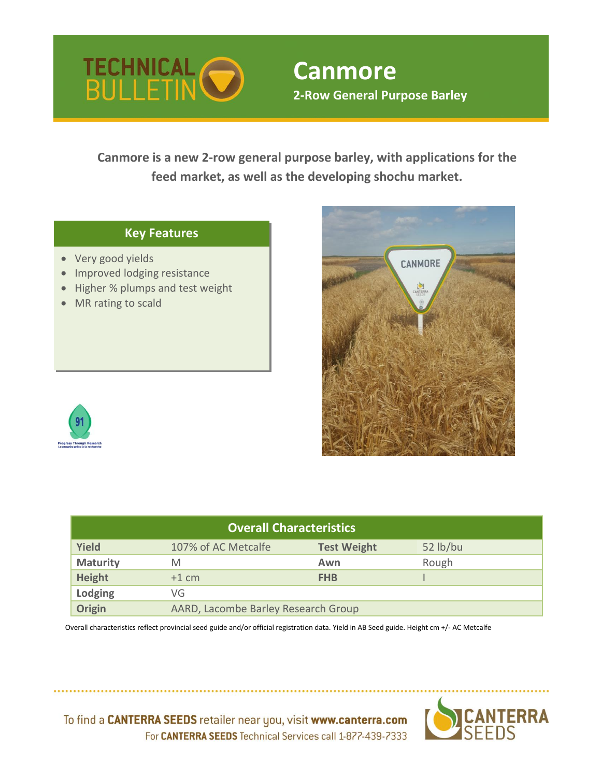

# **Canmore 2-Row General Purpose Barley**

**Canmore is a new 2-row general purpose barley, with applications for the feed market, as well as the developing shochu market.** 

#### **Key Features**

- Very good yields
- Improved lodging resistance
- Higher % plumps and test weight
- MR rating to scald





| <b>Overall Characteristics</b> |                                     |                    |          |  |  |  |  |  |  |  |  |
|--------------------------------|-------------------------------------|--------------------|----------|--|--|--|--|--|--|--|--|
| <b>Yield</b>                   | 107% of AC Metcalfe                 | <b>Test Weight</b> | 52 lb/bu |  |  |  |  |  |  |  |  |
| <b>Maturity</b>                | M                                   | Awn                | Rough    |  |  |  |  |  |  |  |  |
| <b>Height</b>                  | $+1$ cm                             | <b>FHB</b>         |          |  |  |  |  |  |  |  |  |
| Lodging                        | VG                                  |                    |          |  |  |  |  |  |  |  |  |
| Origin                         | AARD, Lacombe Barley Research Group |                    |          |  |  |  |  |  |  |  |  |

 Overall characteristics reflect provincial seed guide and/or official registration data. Yield in AB Seed guide. Height cm +/- AC Metcalfe



To find a CANTERRA SEEDS retailer near you, visit www.canterra.com For CANTERRA SEEDS Technical Services call 1-877-439-7333